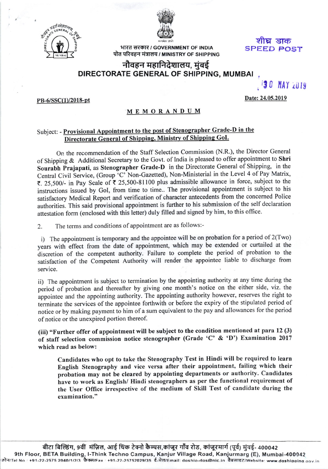



भारत सरकार / GOVERNMENT OF INDIA पोत परिवहन मंत्रालय / MINISTRY OF SHIPPING SPEED POST शोघ डाक

**30 MAY 2019** 

## नौवहन महानिदेशालय, मुंबई DIRECTORATE GENERAL OF SHIPPING, MUMBAI

PB-6/SSC(1)/2018-pt

Date: 24.05.2019

## MEMORANDUM

## Subject: - Provisional Appointment to the post of Stenographer Grade-D in the Directorate General of Shipping, Ministry of Shipping GoI.

on the recommendation of the Staff Selection commission (N.R.), the Director General of Shipping & Additional Secretary to the Govt. of India is pleased to offer appointment to Shri Sourabh Prajapati, as Stenographer Grade-D in the Directorate General of Shipping, in the Sourabin 1 rajapati, as stendgrapher Strate B in the Direction of the Level 4 of Pay Matrix, ₹. 25,500/- in Pay Scale of ₹ 25,500-81100 plus admissible allowance in force, subject to the instructions issued by Gol, from time to time.. The provisional appointment is subject to his satisfactory Medical Report and verification of character antecedents from the concemed Police authorities. This said provisional appointment is further to his submission of the self declaration attestation form (enclosed with this letter) duly filled and signed by him, to this oflice.

2. The terms and conditions of appointment are as follows:-

i) The appointment is temporary and the appointee will be on probation for a period of 2(Two) years with effect from the date of appointment, which may be extended or curtailed at the discretion of the competent authority. Failure to complete the period of probation to the satisfaction of the competent Authority will render the appointee liable to discharge from service.

ii) The appointment is subject to termination by the appointing authority at any time during the period of probation and thereafter by giving one month's notice on the either side, viz. the appointee and the appointing authority. The appointing authority however, reserves the right to terminate the services of the appointee forthwith or before the expiry of the stipulated period of notice or by making payment to him of a sum equivalent to the pay and allowances for the period of notice or the unexpired portion thereof.

(iii) "Further offer of appointment will be subject to the condition mentioned at para 12 (3) of staff selection commission notice stenographer (Grade 'C' & 'D') Examination <sup>2017</sup> which read as below:

Candidates who opt to take the Stenography Test in Hindi will be required to learn English Stenography and vice versa after their appointment, failing which their probation may not be cleared by appointing departments or authority, Candidates have to work as English/ Hindi stenographers as per the functional requirement of the User Office irrespective of the medium of Skill Test of candidate during the examination."